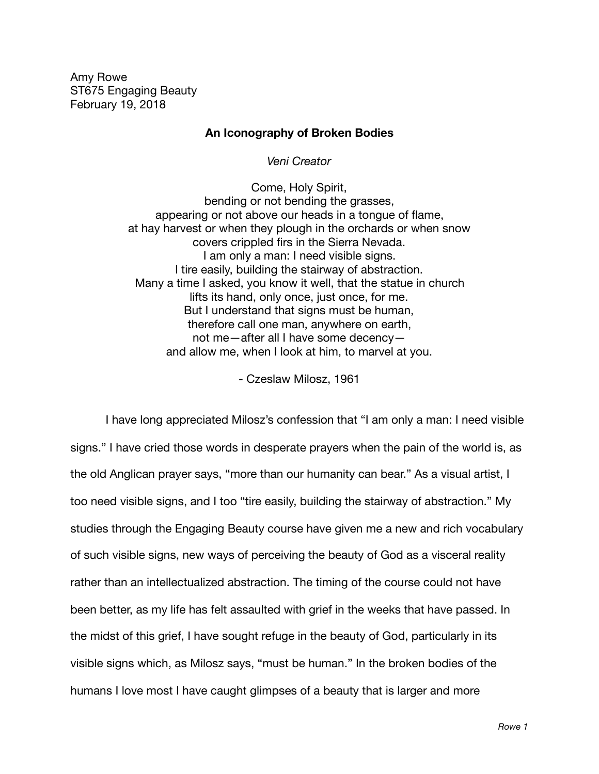Amy Rowe ST675 Engaging Beauty February 19, 2018

## **An Iconography of Broken Bodies**

*Veni Creator*

Come, Holy Spirit, bending or not bending the grasses, appearing or not above our heads in a tongue of flame, at hay harvest or when they plough in the orchards or when snow covers crippled firs in the Sierra Nevada. I am only a man: I need visible signs. I tire easily, building the stairway of abstraction. Many a time I asked, you know it well, that the statue in church lifts its hand, only once, just once, for me. But I understand that signs must be human, therefore call one man, anywhere on earth, not me—after all I have some decency and allow me, when I look at him, to marvel at you.

- Czeslaw Milosz, 1961

I have long appreciated Milosz's confession that "I am only a man: I need visible signs." I have cried those words in desperate prayers when the pain of the world is, as the old Anglican prayer says, "more than our humanity can bear." As a visual artist, I too need visible signs, and I too "tire easily, building the stairway of abstraction." My studies through the Engaging Beauty course have given me a new and rich vocabulary of such visible signs, new ways of perceiving the beauty of God as a visceral reality rather than an intellectualized abstraction. The timing of the course could not have been better, as my life has felt assaulted with grief in the weeks that have passed. In the midst of this grief, I have sought refuge in the beauty of God, particularly in its visible signs which, as Milosz says, "must be human." In the broken bodies of the humans I love most I have caught glimpses of a beauty that is larger and more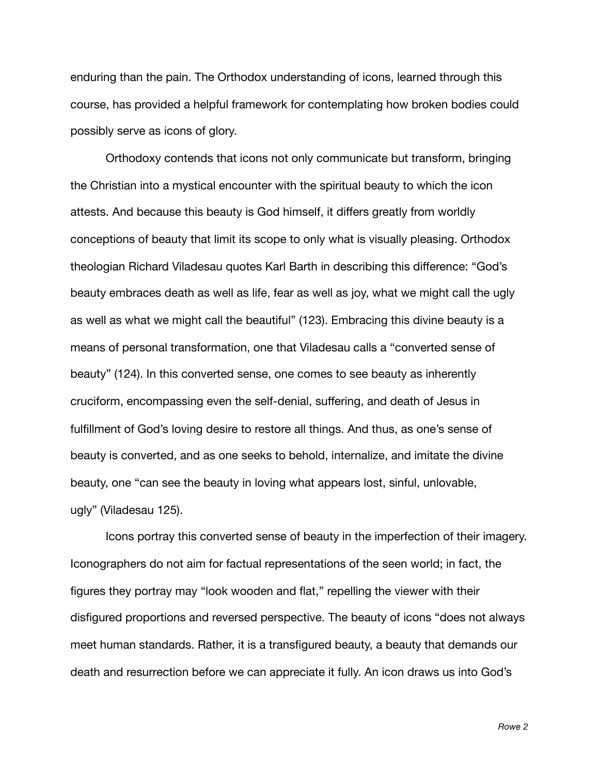enduring than the pain. The Orthodox understanding of icons, learned through this course, has provided a helpful framework for contemplating how broken bodies could possibly serve as icons of glory.

Orthodoxy contends that icons not only communicate but transform, bringing the Christian into a mystical encounter with the spiritual beauty to which the icon attests. And because this beauty is God himself, it differs greatly from worldly conceptions of beauty that limit its scope to only what is visually pleasing. Orthodox theologian Richard Viladesau quotes Karl Barth in describing this difference: "God's beauty embraces death as well as life, fear as well as joy, what we might call the ugly as well as what we might call the beautiful" (123). Embracing this divine beauty is a means of personal transformation, one that Viladesau calls a "converted sense of beauty" (124). In this converted sense, one comes to see beauty as inherently cruciform, encompassing even the self-denial, suffering, and death of Jesus in fulfillment of God's loving desire to restore all things. And thus, as one's sense of beauty is converted, and as one seeks to behold, internalize, and imitate the divine beauty, one "can see the beauty in loving what appears lost, sinful, unlovable, ugly" (Viladesau 125).

Icons portray this converted sense of beauty in the imperfection of their imagery. Iconographers do not aim for factual representations of the seen world; in fact, the figures they portray may "look wooden and flat," repelling the viewer with their disfigured proportions and reversed perspective. The beauty of icons "does not always meet human standards. Rather, it is a transfigured beauty, a beauty that demands our death and resurrection before we can appreciate it fully. An icon draws us into God's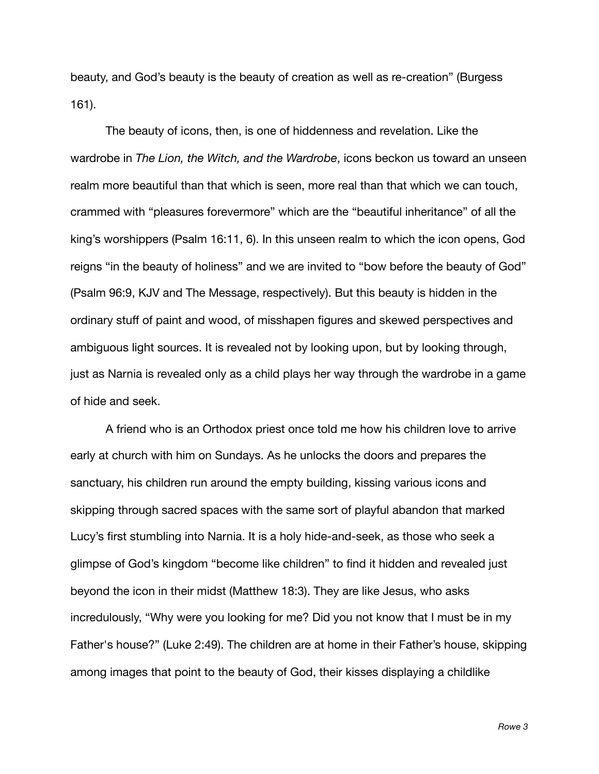beauty, and God's beauty is the beauty of creation as well as re-creation" (Burgess 161).

The beauty of icons, then, is one of hiddenness and revelation. Like the wardrobe in *The Lion, the Witch, and the Wardrobe*, icons beckon us toward an unseen realm more beautiful than that which is seen, more real than that which we can touch, crammed with "pleasures forevermore" which are the "beautiful inheritance" of all the king's worshippers (Psalm 16:11, 6). In this unseen realm to which the icon opens, God reigns "in the beauty of holiness" and we are invited to "bow before the beauty of God" (Psalm 96:9, KJV and The Message, respectively). But this beauty is hidden in the ordinary stuff of paint and wood, of misshapen figures and skewed perspectives and ambiguous light sources. It is revealed not by looking upon, but by looking through, just as Narnia is revealed only as a child plays her way through the wardrobe in a game of hide and seek.

A friend who is an Orthodox priest once told me how his children love to arrive early at church with him on Sundays. As he unlocks the doors and prepares the sanctuary, his children run around the empty building, kissing various icons and skipping through sacred spaces with the same sort of playful abandon that marked Lucy's first stumbling into Narnia. It is a holy hide-and-seek, as those who seek a glimpse of God's kingdom "become like children" to find it hidden and revealed just beyond the icon in their midst (Matthew 18:3). They are like Jesus, who asks incredulously, "Why were you looking for me? Did you not know that I must be in my Father's house?" (Luke 2:49). The children are at home in their Father's house, skipping among images that point to the beauty of God, their kisses displaying a childlike

*Rowe 3*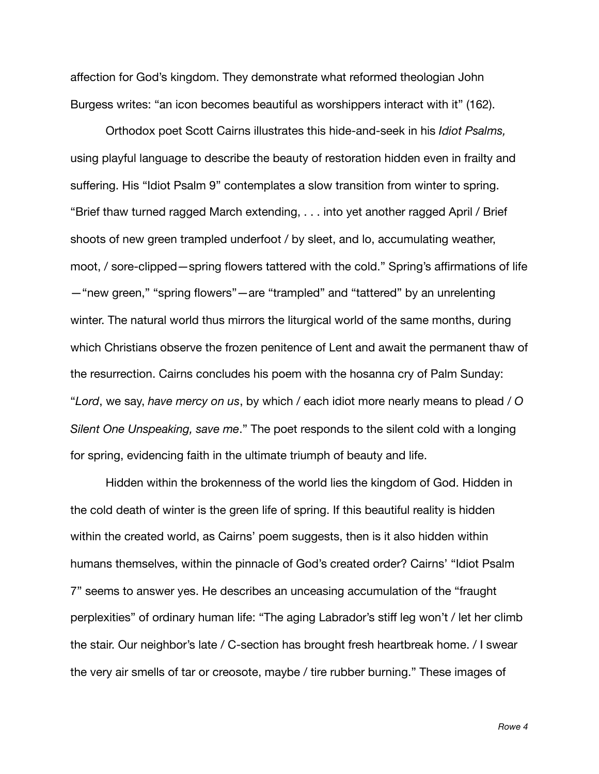affection for God's kingdom. They demonstrate what reformed theologian John Burgess writes: "an icon becomes beautiful as worshippers interact with it" (162).

Orthodox poet Scott Cairns illustrates this hide-and-seek in his *Idiot Psalms,*  using playful language to describe the beauty of restoration hidden even in frailty and suffering. His "Idiot Psalm 9" contemplates a slow transition from winter to spring. "Brief thaw turned ragged March extending, . . . into yet another ragged April / Brief shoots of new green trampled underfoot / by sleet, and lo, accumulating weather, moot, / sore-clipped—spring flowers tattered with the cold." Spring's affirmations of life —"new green," "spring flowers"—are "trampled" and "tattered" by an unrelenting winter. The natural world thus mirrors the liturgical world of the same months, during which Christians observe the frozen penitence of Lent and await the permanent thaw of the resurrection. Cairns concludes his poem with the hosanna cry of Palm Sunday: "*Lord*, we say, *have mercy on us*, by which / each idiot more nearly means to plead / *O Silent One Unspeaking, save me*." The poet responds to the silent cold with a longing for spring, evidencing faith in the ultimate triumph of beauty and life.

Hidden within the brokenness of the world lies the kingdom of God. Hidden in the cold death of winter is the green life of spring. If this beautiful reality is hidden within the created world, as Cairns' poem suggests, then is it also hidden within humans themselves, within the pinnacle of God's created order? Cairns' "Idiot Psalm 7" seems to answer yes. He describes an unceasing accumulation of the "fraught perplexities" of ordinary human life: "The aging Labrador's stiff leg won't / let her climb the stair. Our neighbor's late / C-section has brought fresh heartbreak home. / I swear the very air smells of tar or creosote, maybe / tire rubber burning." These images of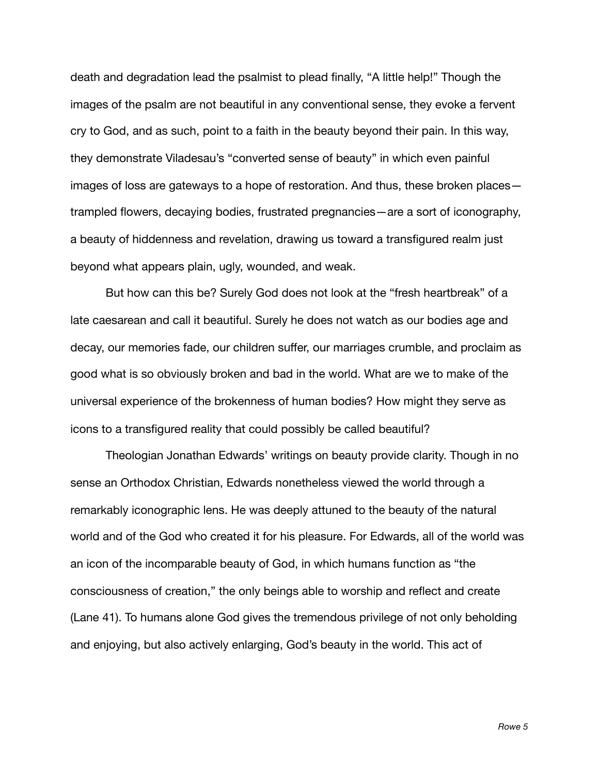death and degradation lead the psalmist to plead finally, "A little help!" Though the images of the psalm are not beautiful in any conventional sense, they evoke a fervent cry to God, and as such, point to a faith in the beauty beyond their pain. In this way, they demonstrate Viladesau's "converted sense of beauty" in which even painful images of loss are gateways to a hope of restoration. And thus, these broken places trampled flowers, decaying bodies, frustrated pregnancies—are a sort of iconography, a beauty of hiddenness and revelation, drawing us toward a transfigured realm just beyond what appears plain, ugly, wounded, and weak.

But how can this be? Surely God does not look at the "fresh heartbreak" of a late caesarean and call it beautiful. Surely he does not watch as our bodies age and decay, our memories fade, our children suffer, our marriages crumble, and proclaim as good what is so obviously broken and bad in the world. What are we to make of the universal experience of the brokenness of human bodies? How might they serve as icons to a transfigured reality that could possibly be called beautiful?

Theologian Jonathan Edwards' writings on beauty provide clarity. Though in no sense an Orthodox Christian, Edwards nonetheless viewed the world through a remarkably iconographic lens. He was deeply attuned to the beauty of the natural world and of the God who created it for his pleasure. For Edwards, all of the world was an icon of the incomparable beauty of God, in which humans function as "the consciousness of creation," the only beings able to worship and reflect and create (Lane 41). To humans alone God gives the tremendous privilege of not only beholding and enjoying, but also actively enlarging, God's beauty in the world. This act of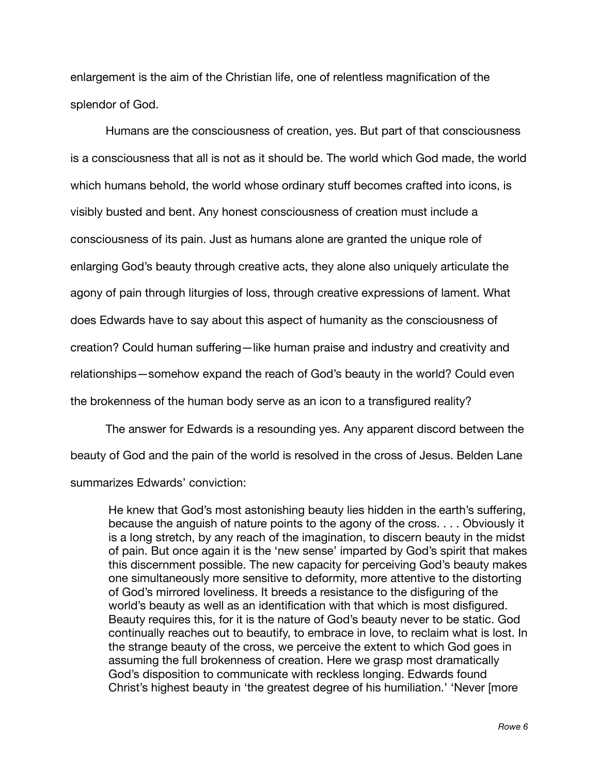enlargement is the aim of the Christian life, one of relentless magnification of the splendor of God.

Humans are the consciousness of creation, yes. But part of that consciousness is a consciousness that all is not as it should be. The world which God made, the world which humans behold, the world whose ordinary stuff becomes crafted into icons, is visibly busted and bent. Any honest consciousness of creation must include a consciousness of its pain. Just as humans alone are granted the unique role of enlarging God's beauty through creative acts, they alone also uniquely articulate the agony of pain through liturgies of loss, through creative expressions of lament. What does Edwards have to say about this aspect of humanity as the consciousness of creation? Could human suffering—like human praise and industry and creativity and relationships—somehow expand the reach of God's beauty in the world? Could even the brokenness of the human body serve as an icon to a transfigured reality?

The answer for Edwards is a resounding yes. Any apparent discord between the beauty of God and the pain of the world is resolved in the cross of Jesus. Belden Lane summarizes Edwards' conviction:

He knew that God's most astonishing beauty lies hidden in the earth's suffering, because the anguish of nature points to the agony of the cross. . . . Obviously it is a long stretch, by any reach of the imagination, to discern beauty in the midst of pain. But once again it is the 'new sense' imparted by God's spirit that makes this discernment possible. The new capacity for perceiving God's beauty makes one simultaneously more sensitive to deformity, more attentive to the distorting of God's mirrored loveliness. It breeds a resistance to the disfiguring of the world's beauty as well as an identification with that which is most disfigured. Beauty requires this, for it is the nature of God's beauty never to be static. God continually reaches out to beautify, to embrace in love, to reclaim what is lost. In the strange beauty of the cross, we perceive the extent to which God goes in assuming the full brokenness of creation. Here we grasp most dramatically God's disposition to communicate with reckless longing. Edwards found Christ's highest beauty in 'the greatest degree of his humiliation.' 'Never [more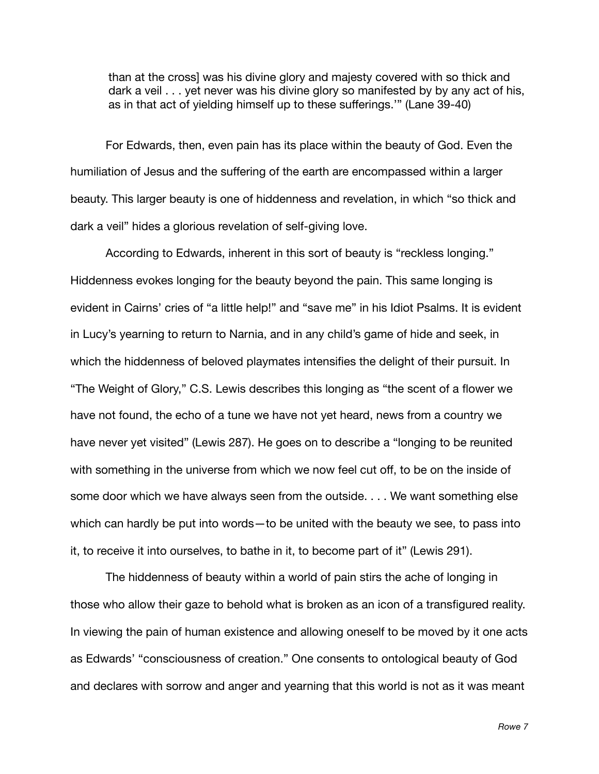than at the cross] was his divine glory and majesty covered with so thick and dark a veil . . . yet never was his divine glory so manifested by by any act of his, as in that act of yielding himself up to these sufferings.'" (Lane 39-40)

For Edwards, then, even pain has its place within the beauty of God. Even the humiliation of Jesus and the suffering of the earth are encompassed within a larger beauty. This larger beauty is one of hiddenness and revelation, in which "so thick and dark a veil" hides a glorious revelation of self-giving love.

According to Edwards, inherent in this sort of beauty is "reckless longing." Hiddenness evokes longing for the beauty beyond the pain. This same longing is evident in Cairns' cries of "a little help!" and "save me" in his Idiot Psalms. It is evident in Lucy's yearning to return to Narnia, and in any child's game of hide and seek, in which the hiddenness of beloved playmates intensifies the delight of their pursuit. In "The Weight of Glory," C.S. Lewis describes this longing as "the scent of a flower we have not found, the echo of a tune we have not yet heard, news from a country we have never yet visited" (Lewis 287). He goes on to describe a "longing to be reunited with something in the universe from which we now feel cut off, to be on the inside of some door which we have always seen from the outside. . . . We want something else which can hardly be put into words—to be united with the beauty we see, to pass into it, to receive it into ourselves, to bathe in it, to become part of it" (Lewis 291).

The hiddenness of beauty within a world of pain stirs the ache of longing in those who allow their gaze to behold what is broken as an icon of a transfigured reality. In viewing the pain of human existence and allowing oneself to be moved by it one acts as Edwards' "consciousness of creation." One consents to ontological beauty of God and declares with sorrow and anger and yearning that this world is not as it was meant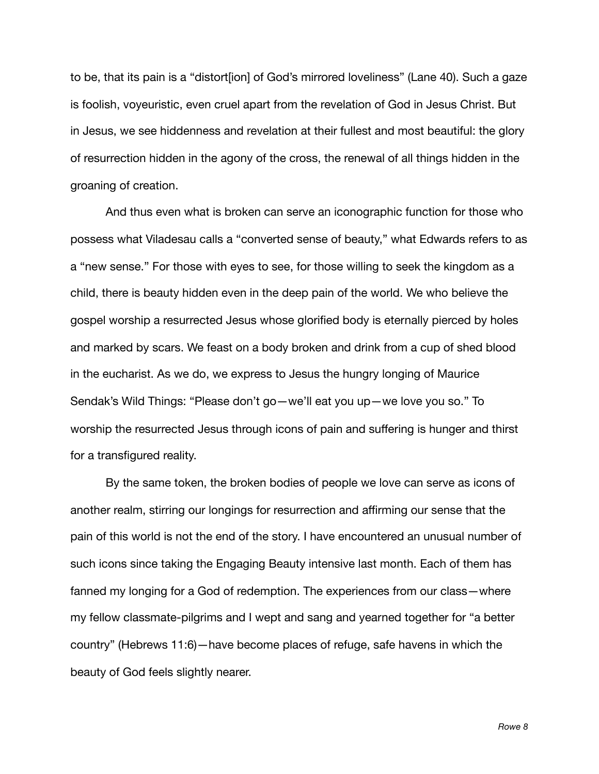to be, that its pain is a "distort[ion] of God's mirrored loveliness" (Lane 40). Such a gaze is foolish, voyeuristic, even cruel apart from the revelation of God in Jesus Christ. But in Jesus, we see hiddenness and revelation at their fullest and most beautiful: the glory of resurrection hidden in the agony of the cross, the renewal of all things hidden in the groaning of creation.

And thus even what is broken can serve an iconographic function for those who possess what Viladesau calls a "converted sense of beauty," what Edwards refers to as a "new sense." For those with eyes to see, for those willing to seek the kingdom as a child, there is beauty hidden even in the deep pain of the world. We who believe the gospel worship a resurrected Jesus whose glorified body is eternally pierced by holes and marked by scars. We feast on a body broken and drink from a cup of shed blood in the eucharist. As we do, we express to Jesus the hungry longing of Maurice Sendak's Wild Things: "Please don't go—we'll eat you up—we love you so." To worship the resurrected Jesus through icons of pain and suffering is hunger and thirst for a transfigured reality.

By the same token, the broken bodies of people we love can serve as icons of another realm, stirring our longings for resurrection and affirming our sense that the pain of this world is not the end of the story. I have encountered an unusual number of such icons since taking the Engaging Beauty intensive last month. Each of them has fanned my longing for a God of redemption. The experiences from our class—where my fellow classmate-pilgrims and I wept and sang and yearned together for "a better country" (Hebrews 11:6)—have become places of refuge, safe havens in which the beauty of God feels slightly nearer.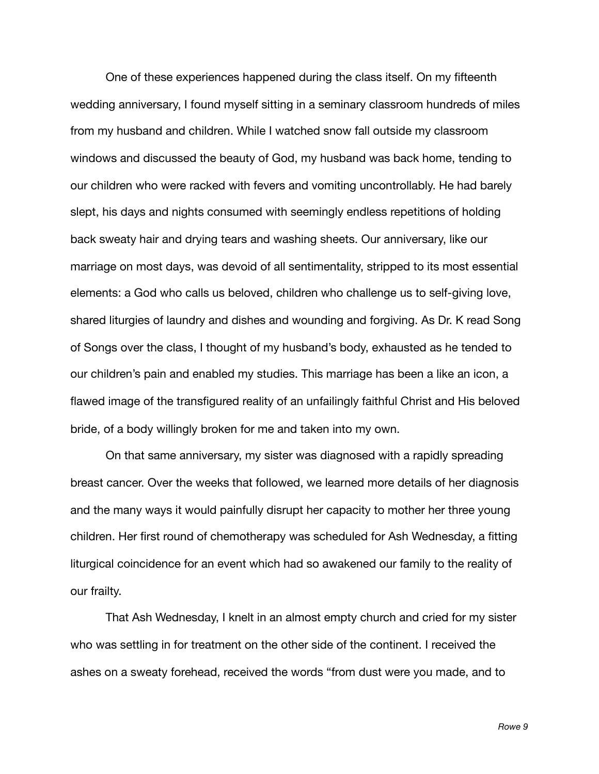One of these experiences happened during the class itself. On my fifteenth wedding anniversary, I found myself sitting in a seminary classroom hundreds of miles from my husband and children. While I watched snow fall outside my classroom windows and discussed the beauty of God, my husband was back home, tending to our children who were racked with fevers and vomiting uncontrollably. He had barely slept, his days and nights consumed with seemingly endless repetitions of holding back sweaty hair and drying tears and washing sheets. Our anniversary, like our marriage on most days, was devoid of all sentimentality, stripped to its most essential elements: a God who calls us beloved, children who challenge us to self-giving love, shared liturgies of laundry and dishes and wounding and forgiving. As Dr. K read Song of Songs over the class, I thought of my husband's body, exhausted as he tended to our children's pain and enabled my studies. This marriage has been a like an icon, a flawed image of the transfigured reality of an unfailingly faithful Christ and His beloved bride, of a body willingly broken for me and taken into my own.

On that same anniversary, my sister was diagnosed with a rapidly spreading breast cancer. Over the weeks that followed, we learned more details of her diagnosis and the many ways it would painfully disrupt her capacity to mother her three young children. Her first round of chemotherapy was scheduled for Ash Wednesday, a fitting liturgical coincidence for an event which had so awakened our family to the reality of our frailty.

That Ash Wednesday, I knelt in an almost empty church and cried for my sister who was settling in for treatment on the other side of the continent. I received the ashes on a sweaty forehead, received the words "from dust were you made, and to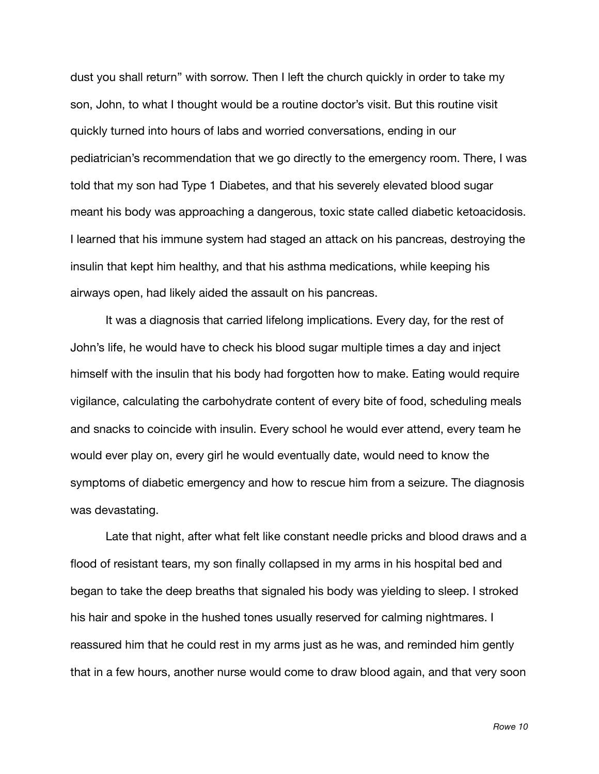dust you shall return" with sorrow. Then I left the church quickly in order to take my son, John, to what I thought would be a routine doctor's visit. But this routine visit quickly turned into hours of labs and worried conversations, ending in our pediatrician's recommendation that we go directly to the emergency room. There, I was told that my son had Type 1 Diabetes, and that his severely elevated blood sugar meant his body was approaching a dangerous, toxic state called diabetic ketoacidosis. I learned that his immune system had staged an attack on his pancreas, destroying the insulin that kept him healthy, and that his asthma medications, while keeping his airways open, had likely aided the assault on his pancreas.

It was a diagnosis that carried lifelong implications. Every day, for the rest of John's life, he would have to check his blood sugar multiple times a day and inject himself with the insulin that his body had forgotten how to make. Eating would require vigilance, calculating the carbohydrate content of every bite of food, scheduling meals and snacks to coincide with insulin. Every school he would ever attend, every team he would ever play on, every girl he would eventually date, would need to know the symptoms of diabetic emergency and how to rescue him from a seizure. The diagnosis was devastating.

Late that night, after what felt like constant needle pricks and blood draws and a flood of resistant tears, my son finally collapsed in my arms in his hospital bed and began to take the deep breaths that signaled his body was yielding to sleep. I stroked his hair and spoke in the hushed tones usually reserved for calming nightmares. I reassured him that he could rest in my arms just as he was, and reminded him gently that in a few hours, another nurse would come to draw blood again, and that very soon

*Rowe 10*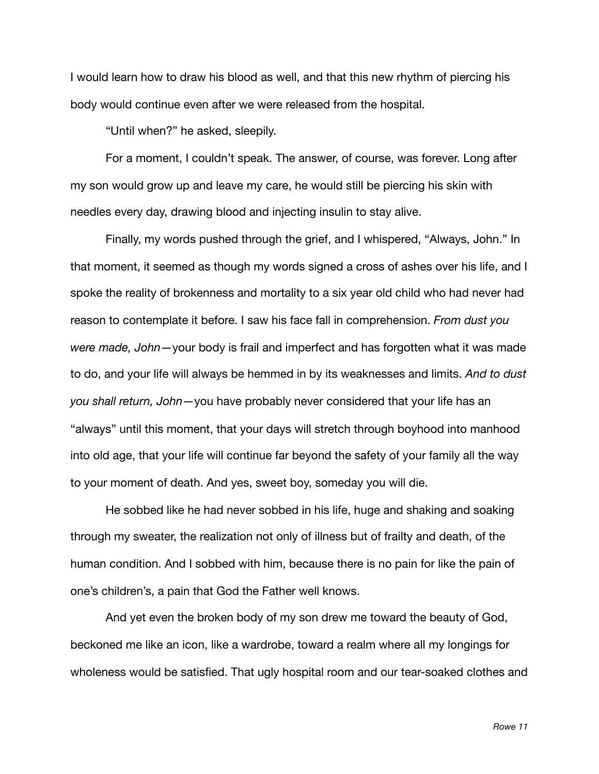I would learn how to draw his blood as well, and that this new rhythm of piercing his body would continue even after we were released from the hospital.

"Until when?" he asked, sleepily.

For a moment, I couldn't speak. The answer, of course, was forever. Long after my son would grow up and leave my care, he would still be piercing his skin with needles every day, drawing blood and injecting insulin to stay alive.

Finally, my words pushed through the grief, and I whispered, "Always, John." In that moment, it seemed as though my words signed a cross of ashes over his life, and I spoke the reality of brokenness and mortality to a six year old child who had never had reason to contemplate it before. I saw his face fall in comprehension. *From dust you were made, John*—your body is frail and imperfect and has forgotten what it was made to do, and your life will always be hemmed in by its weaknesses and limits. *And to dust you shall return, John*—you have probably never considered that your life has an "always" until this moment, that your days will stretch through boyhood into manhood into old age, that your life will continue far beyond the safety of your family all the way to your moment of death. And yes, sweet boy, someday you will die.

He sobbed like he had never sobbed in his life, huge and shaking and soaking through my sweater, the realization not only of illness but of frailty and death, of the human condition. And I sobbed with him, because there is no pain for like the pain of one's children's, a pain that God the Father well knows.

And yet even the broken body of my son drew me toward the beauty of God, beckoned me like an icon, like a wardrobe, toward a realm where all my longings for wholeness would be satisfied. That ugly hospital room and our tear-soaked clothes and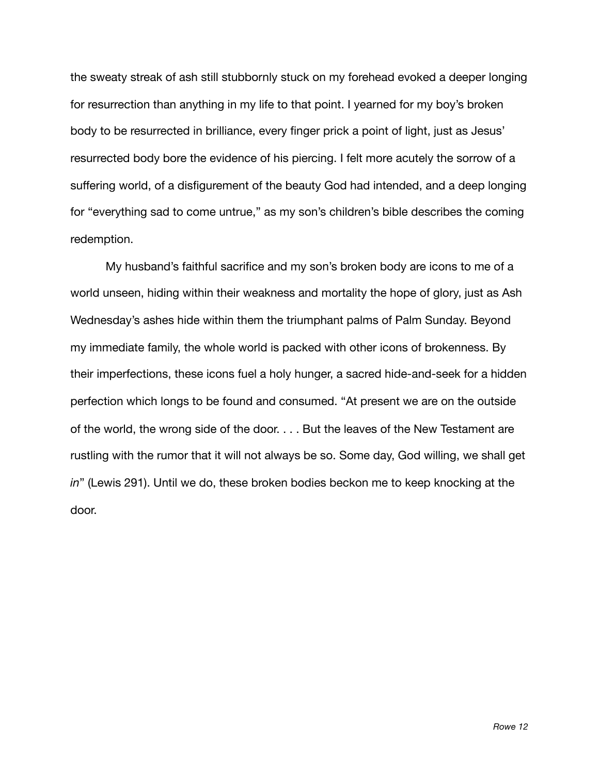the sweaty streak of ash still stubbornly stuck on my forehead evoked a deeper longing for resurrection than anything in my life to that point. I yearned for my boy's broken body to be resurrected in brilliance, every finger prick a point of light, just as Jesus' resurrected body bore the evidence of his piercing. I felt more acutely the sorrow of a suffering world, of a disfigurement of the beauty God had intended, and a deep longing for "everything sad to come untrue," as my son's children's bible describes the coming redemption.

My husband's faithful sacrifice and my son's broken body are icons to me of a world unseen, hiding within their weakness and mortality the hope of glory, just as Ash Wednesday's ashes hide within them the triumphant palms of Palm Sunday. Beyond my immediate family, the whole world is packed with other icons of brokenness. By their imperfections, these icons fuel a holy hunger, a sacred hide-and-seek for a hidden perfection which longs to be found and consumed. "At present we are on the outside of the world, the wrong side of the door. . . . But the leaves of the New Testament are rustling with the rumor that it will not always be so. Some day, God willing, we shall get *in*" (Lewis 291). Until we do, these broken bodies beckon me to keep knocking at the door.